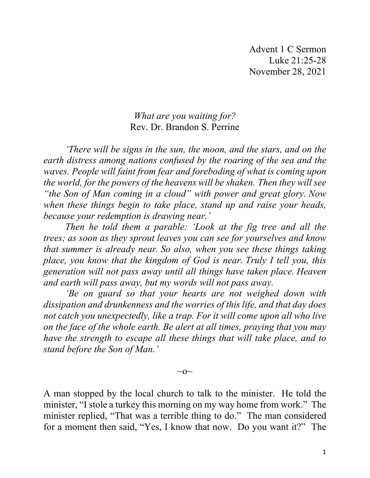## *What are you waiting for?* Rev. Dr. Brandon S. Perrine

*'There will be signs in the sun, the moon, and the stars, and on the earth distress among nations confused by the roaring of the sea and the waves. People will faint from fear and foreboding of what is coming upon the world, for the powers of the heavens will be shaken. Then they will see "the Son of Man coming in a cloud" with power and great glory. Now when these things begin to take place, stand up and raise your heads, because your redemption is drawing near.'*

*Then he told them a parable: 'Look at the fig tree and all the trees; as soon as they sprout leaves you can see for yourselves and know that summer is already near. So also, when you see these things taking place, you know that the kingdom of God is near. Truly I tell you, this generation will not pass away until all things have taken place. Heaven and earth will pass away, but my words will not pass away.*

*'Be on guard so that your hearts are not weighed down with dissipation and drunkenness and the worries of this life, and that day does not catch you unexpectedly, like a trap. For it will come upon all who live on the face of the whole earth. Be alert at all times, praying that you may have the strength to escape all these things that will take place, and to stand before the Son of Man.'*

 $\sim$ O $\sim$ 

A man stopped by the local church to talk to the minister. He told the minister, "I stole a turkey this morning on my way home from work." The minister replied, "That was a terrible thing to do." The man considered for a moment then said, "Yes, I know that now. Do you want it?" The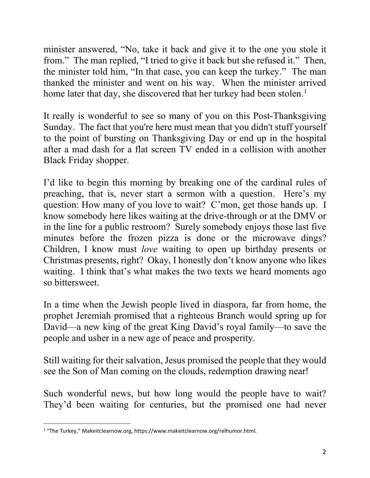minister answered, "No, take it back and give it to the one you stole it from." The man replied, "I tried to give it back but she refused it." Then, the minister told him, "In that case, you can keep the turkey." The man thanked the minister and went on his way. When the minister arrived home later that day, she discovered that her turkey had been stolen.<sup>[1](#page-1-0)</sup>

It really is wonderful to see so many of you on this Post-Thanksgiving Sunday. The fact that you're here must mean that you didn't stuff yourself to the point of bursting on Thanksgiving Day or end up in the hospital after a mad dash for a flat screen TV ended in a collision with another Black Friday shopper.

I'd like to begin this morning by breaking one of the cardinal rules of preaching, that is, never start a sermon with a question. Here's my question: How many of you love to wait? C'mon, get those hands up. I know somebody here likes waiting at the drive-through or at the DMV or in the line for a public restroom? Surely somebody enjoys those last five minutes before the frozen pizza is done or the microwave dings? Children, I know must *love* waiting to open up birthday presents or Christmas presents, right? Okay, I honestly don't know anyone who likes waiting. I think that's what makes the two texts we heard moments ago so bittersweet.

In a time when the Jewish people lived in diaspora, far from home, the prophet Jeremiah promised that a righteous Branch would spring up for David—a new king of the great King David's royal family—to save the people and usher in a new age of peace and prosperity.

Still waiting for their salvation, Jesus promised the people that they would see the Son of Man coming on the clouds, redemption drawing near!

Such wonderful news, but how long would the people have to wait? They'd been waiting for centuries, but the promised one had never

<span id="page-1-0"></span><sup>&</sup>lt;sup>1</sup> "The Turkey," Makeitclearnow.org, https://www.makeitclearnow.org/relhumor.html.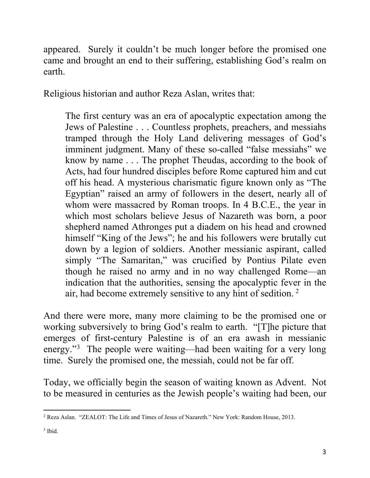appeared. Surely it couldn't be much longer before the promised one came and brought an end to their suffering, establishing God's realm on earth.

Religious historian and author Reza Aslan, writes that:

The first century was an era of apocalyptic expectation among the Jews of Palestine . . . Countless prophets, preachers, and messiahs tramped through the Holy Land delivering messages of God's imminent judgment. Many of these so-called "false messiahs" we know by name . . . The prophet Theudas, according to the book of Acts, had four hundred disciples before Rome captured him and cut off his head. A mysterious charismatic figure known only as "The Egyptian" raised an army of followers in the desert, nearly all of whom were massacred by Roman troops. In 4 B.C.E., the year in which most scholars believe Jesus of Nazareth was born, a poor shepherd named Athronges put a diadem on his head and crowned himself "King of the Jews"; he and his followers were brutally cut down by a legion of soldiers. Another messianic aspirant, called simply "The Samaritan," was crucified by Pontius Pilate even though he raised no army and in no way challenged Rome—an indication that the authorities, sensing the apocalyptic fever in the air, had become extremely sensitive to any hint of sedition. [2](#page-2-0)

And there were more, many more claiming to be the promised one or working subversively to bring God's realm to earth. "[T]he picture that emerges of first-century Palestine is of an era awash in messianic energy."<sup>[3](#page-2-1)</sup> The people were waiting—had been waiting for a very long time. Surely the promised one, the messiah, could not be far off.

Today, we officially begin the season of waiting known as Advent. Not to be measured in centuries as the Jewish people's waiting had been, our

<span id="page-2-0"></span><sup>2</sup> Reza Aslan. "[ZEALOT: The Life and Times of Jesus of Nazareth.](http://www.amazon.com/Zealot-Life-Times-Jesus-Nazareth/dp/140006922X?tag=thehuffingtop-20)" New York: Random House, 2013.

<span id="page-2-1"></span> $3$  Ibid.